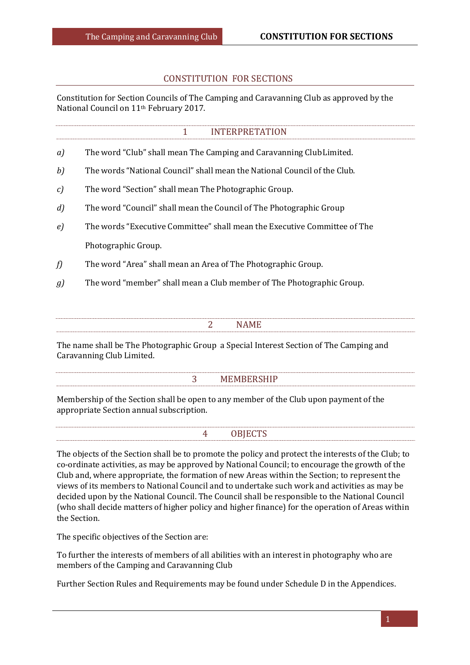## CONSTITUTION FOR SECTIONS

Constitution for Section Councils of The Camping and Caravanning Club as approved by the National Council on 11th February 2017.

|               | <b>INTERPRETATION</b><br>1                                                |  |  |  |
|---------------|---------------------------------------------------------------------------|--|--|--|
| a)            | The word "Club" shall mean The Camping and Caravanning Club Limited.      |  |  |  |
| b)            | The words "National Council" shall mean the National Council of the Club. |  |  |  |
| $\mathcal{C}$ | The word "Section" shall mean The Photographic Group.                     |  |  |  |
| d             | The word "Council" shall mean the Council of The Photographic Group       |  |  |  |
| $\epsilon$    | The words "Executive Committee" shall mean the Executive Committee of The |  |  |  |
|               | Photographic Group.                                                       |  |  |  |
| f)            | The word "Area" shall mean an Area of The Photographic Group.             |  |  |  |
| g             | The word "member" shall mean a Club member of The Photographic Group.     |  |  |  |
|               |                                                                           |  |  |  |
|               | 2<br>NAME                                                                 |  |  |  |
|               |                                                                           |  |  |  |

The name shall be The Photographic Group a Special Interest Section of The Camping and Caravanning Club Limited.

#### 3 MEMBERSHIP

Membership of the Section shall be open to any member of the Club upon payment of the appropriate Section annual subscription.

4 OBJECTS

The objects of the Section shall be to promote the policy and protect the interests of the Club; to co-ordinate activities, as may be approved by National Council; to encourage the growth of the Club and, where appropriate, the formation of new Areas within the Section; to represent the views of its members to National Council and to undertake such work and activities as may be decided upon by the National Council. The Council shall be responsible to the National Council (who shall decide matters of higher policy and higher finance) for the operation of Areas within the Section.

The specific objectives of the Section are:

To further the interests of members of all abilities with an interest in photography who are members of the Camping and Caravanning Club

Further Section Rules and Requirements may be found under Schedule D in the Appendices.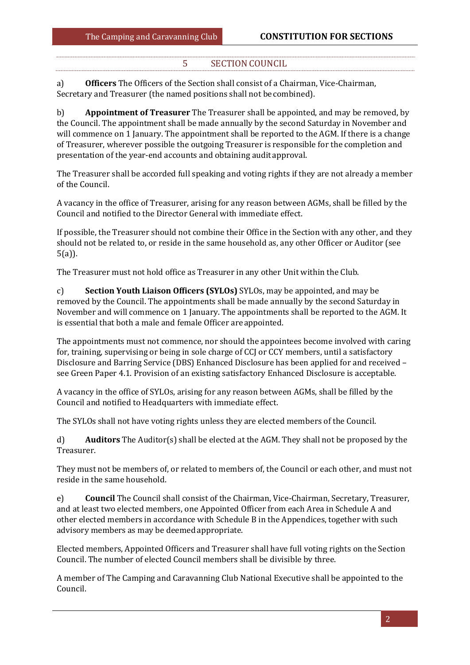# 5 SECTION COUNCIL

a) **Officers** The Officers of the Section shall consist of a Chairman, Vice-Chairman, Secretary and Treasurer (the named positions shall not be combined).

b) **Appointment of Treasurer** The Treasurer shall be appointed, and may be removed, by the Council. The appointment shall be made annually by the second Saturday in November and will commence on 1 January. The appointment shall be reported to the AGM. If there is a change of Treasurer, wherever possible the outgoing Treasurer is responsible for the completion and presentation of the year-end accounts and obtaining auditapproval.

The Treasurer shall be accorded full speaking and voting rights if they are not already a member of the Council.

A vacancy in the office of Treasurer, arising for any reason between AGMs, shall be filled by the Council and notified to the Director General with immediate effect.

If possible, the Treasurer should not combine their Office in the Section with any other, and they should not be related to, or reside in the same household as, any other Officer or Auditor (see 5(a)).

The Treasurer must not hold office as Treasurer in any other Unit within the Club.

c) **Section Youth Liaison Officers (SYLOs)** SYLOs, may be appointed, and may be removed by the Council. The appointments shall be made annually by the second Saturday in November and will commence on 1 January. The appointments shall be reported to the AGM. It is essential that both a male and female Officer areappointed.

The appointments must not commence, nor should the appointees become involved with caring for, training, supervising or being in sole charge of CCJ or CCY members, until a satisfactory Disclosure and Barring Service (DBS) Enhanced Disclosure has been applied for and received – see Green Paper 4.1. Provision of an existing satisfactory Enhanced Disclosure is acceptable.

A vacancy in the office of SYLOs, arising for any reason between AGMs, shall be filled by the Council and notified to Headquarters with immediate effect.

The SYLOs shall not have voting rights unless they are elected members of the Council.

d) **Auditors** The Auditor(s) shall be elected at the AGM. They shall not be proposed by the Treasurer.

They must not be members of, or related to members of, the Council or each other, and must not reside in the same household.

e) **Council** The Council shall consist of the Chairman, Vice-Chairman, Secretary, Treasurer, and at least two elected members, one Appointed Officer from each Area in Schedule A and other elected members in accordance with Schedule B in the Appendices, together with such advisory members as may be deemed appropriate.

Elected members, Appointed Officers and Treasurer shall have full voting rights on the Section Council. The number of elected Council members shall be divisible by three.

A member of The Camping and Caravanning Club National Executive shall be appointed to the Council.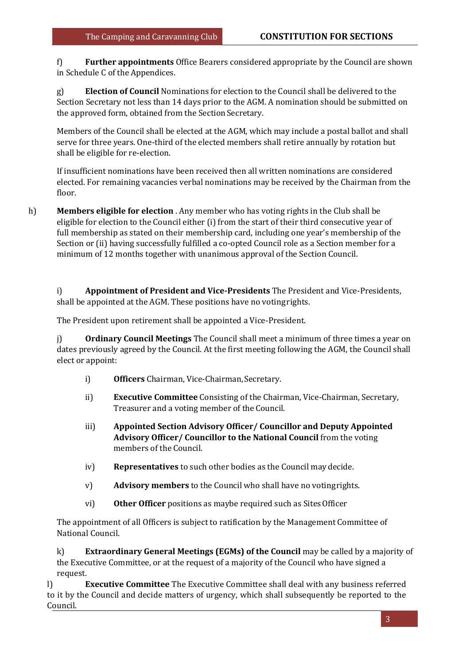f) **Further appointments** Office Bearers considered appropriate by the Council are shown in Schedule C of the Appendices.

g) **Election of Council** Nominations for election to the Council shall be delivered to the Section Secretary not less than 14 days prior to the AGM. A nomination should be submitted on the approved form, obtained from the Section Secretary.

Members of the Council shall be elected at the AGM, which may include a postal ballot and shall serve for three years. One-third of the elected members shall retire annually by rotation but shall be eligible for re-election.

If insufficient nominations have been received then all written nominations are considered elected. For remaining vacancies verbal nominations may be received by the Chairman from the floor.

h) **Members eligible for election** . Any member who has voting rights in the Club shall be eligible for election to the Council either (i) from the start of their third consecutive year of full membership as stated on their membership card, including one year's membership of the Section or (ii) having successfully fulfilled a co-opted Council role as a Section member for a minimum of 12 months together with unanimous approval of the Section Council.

i) **Appointment of President and Vice-Presidents** The President and Vice-Presidents, shall be appointed at the AGM. These positions have no votingrights.

The President upon retirement shall be appointed a Vice-President.

j) **Ordinary Council Meetings** The Council shall meet a minimum of three times a year on dates previously agreed by the Council. At the first meeting following the AGM, the Council shall elect or appoint:

- i) **Officers** Chairman, Vice-Chairman, Secretary.
- ii) **Executive Committee** Consisting of the Chairman, Vice-Chairman, Secretary, Treasurer and a voting member of the Council.
- iii) **Appointed Section Advisory Officer/ Councillor and Deputy Appointed Advisory Officer/ Councillor to the National Council** from the voting members of the Council.
- iv) **Representatives** to such other bodies as the Council maydecide.
- v) **Advisory members** to the Council who shall have no votingrights.
- vi) **Other Officer** positions as maybe required such as SitesOfficer

The appointment of all Officers is subject to ratification by the Management Committee of National Council.

k) **Extraordinary General Meetings (EGMs) of the Council** may be called by a majority of the Executive Committee, or at the request of a majority of the Council who have signed a request.

l) **Executive Committee** The Executive Committee shall deal with any business referred to it by the Council and decide matters of urgency, which shall subsequently be reported to the Council.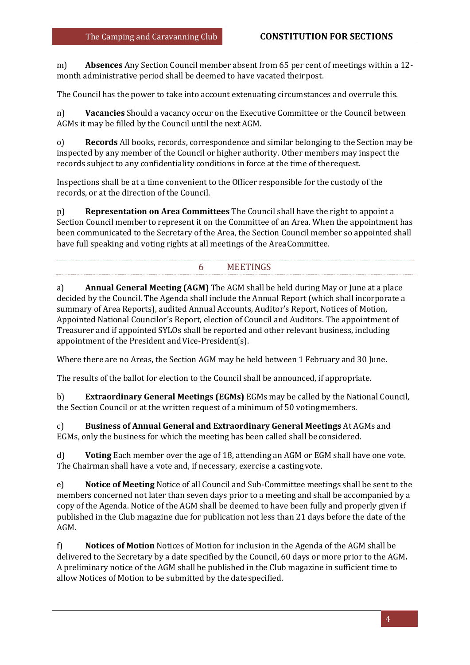m) **Absences** Any Section Council member absent from 65 per cent of meetings within a 12 month administrative period shall be deemed to have vacated theirpost.

The Council has the power to take into account extenuating circumstances and overrule this.

n) **Vacancies** Should a vacancy occur on the Executive Committee or the Council between AGMs it may be filled by the Council until the nextAGM.

o) **Records** All books, records, correspondence and similar belonging to the Section may be inspected by any member of the Council or higher authority. Other members may inspect the records subject to any confidentiality conditions in force at the time of therequest.

Inspections shall be at a time convenient to the Officer responsible for the custody of the records, or at the direction of the Council.

p) **Representation on Area Committees** The Council shall have the right to appoint a Section Council member to represent it on the Committee of an Area. When the appointment has been communicated to the Secretary of the Area, the Section Council member so appointed shall have full speaking and voting rights at all meetings of the AreaCommittee.

# 6 MEETINGS

a) **Annual General Meeting (AGM)** The AGM shall be held during May or June at a place decided by the Council. The Agenda shall include the Annual Report (which shall incorporate a summary of Area Reports), audited Annual Accounts, Auditor's Report, Notices of Motion, Appointed National Councilor's Report, election of Council and Auditors. The appointment of Treasurer and if appointed SYLOs shall be reported and other relevant business, including appointment of the President and Vice-President(s).

Where there are no Areas, the Section AGM may be held between 1 February and 30 June.

The results of the ballot for election to the Council shall be announced, if appropriate.

b) **Extraordinary General Meetings (EGMs)** EGMs may be called by the National Council, the Section Council or at the written request of a minimum of 50 votingmembers.

c) **Business of Annual General and Extraordinary General Meetings** At AGMs and EGMs, only the business for which the meeting has been called shall beconsidered.

d) **Voting** Each member over the age of 18, attending an AGM or EGM shall have one vote. The Chairman shall have a vote and, if necessary, exercise a castingvote.

e) **Notice of Meeting** Notice of all Council and Sub-Committee meetings shall be sent to the members concerned not later than seven days prior to a meeting and shall be accompanied by a copy of the Agenda. Notice of the AGM shall be deemed to have been fully and properly given if published in the Club magazine due for publication not less than 21 days before the date of the AGM.

f) **Notices of Motion** Notices of Motion for inclusion in the Agenda of the AGM shall be delivered to the Secretary by a date specified by the Council, 60 days or more prior to the AGM**.**  A preliminary notice of the AGM shall be published in the Club magazine in sufficient time to allow Notices of Motion to be submitted by the datespecified.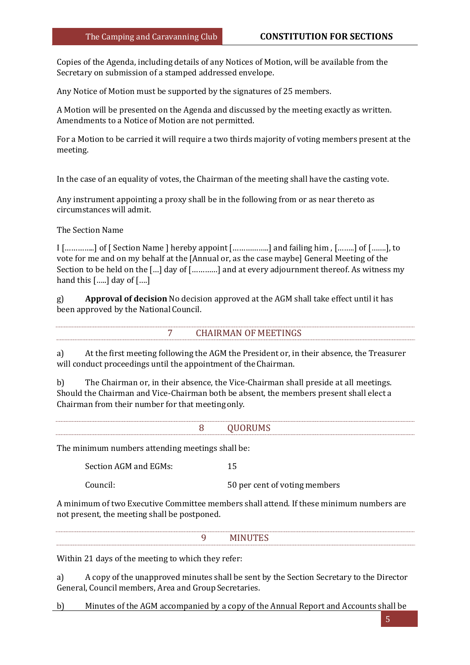Copies of the Agenda, including details of any Notices of Motion, will be available from the Secretary on submission of a stamped addressed envelope.

Any Notice of Motion must be supported by the signatures of 25 members.

A Motion will be presented on the Agenda and discussed by the meeting exactly as written. Amendments to a Notice of Motion are not permitted.

For a Motion to be carried it will require a two thirds majority of voting members present at the meeting.

In the case of an equality of votes, the Chairman of the meeting shall have the casting vote.

Any instrument appointing a proxy shall be in the following from or as near thereto as circumstances will admit.

The Section Name

I […………..] of [ Section Name ] hereby appoint [……………..] and failing him , [……..] of […….], to vote for me and on my behalf at the [Annual or, as the case maybe] General Meeting of the Section to be held on the […] day of […………] and at every adjournment thereof. As witness my hand this […..] day of [….]

g) **Approval of decision** No decision approved at the AGM shall take effect until it has been approved by the National Council.

#### 7 CHAIRMAN OF MEETINGS

a) At the first meeting following the AGM the President or, in their absence, the Treasurer will conduct proceedings until the appointment of theChairman.

b) The Chairman or, in their absence, the Vice-Chairman shall preside at all meetings. Should the Chairman and Vice-Chairman both be absent, the members present shall elect a Chairman from their number for that meetingonly.

| <b>OUORUMS</b><br>. |
|---------------------|
|                     |

The minimum numbers attending meetings shall be:

Section AGM and EGMs: 15

Council: 50 per cent of voting members

A minimum of two Executive Committee members shall attend. If these minimum numbers are not present, the meeting shall be postponed.

Within 21 days of the meeting to which they refer:

a) A copy of the unapproved minutes shall be sent by the Section Secretary to the Director General, Council members, Area and Group Secretaries.

b) Minutes of the AGM accompanied by a copy of the Annual Report and Accounts shall be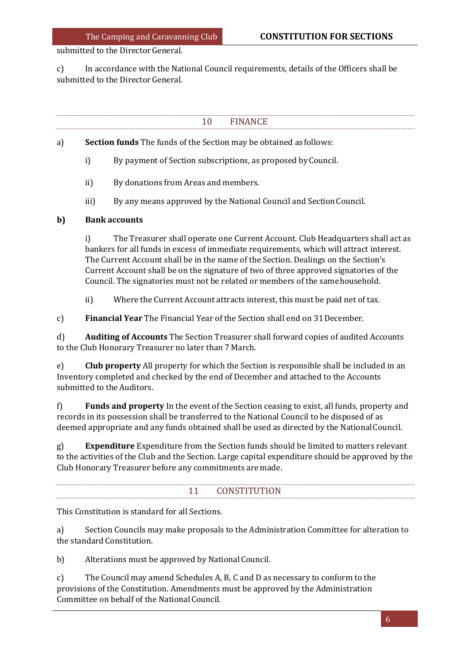submitted to the Director General.

c) In accordance with the National Council requirements, details of the Officers shall be submitted to the Director General.

10 FINANCE

a) **Section funds** The funds of the Section may be obtained as follows:

- i) By payment of Section subscriptions, as proposed byCouncil.
- ii) By donations from Areas and members.
- iii) By any means approved by the National Council and Section Council.

## **b) Bank accounts**

i) The Treasurer shall operate one Current Account. Club Headquarters shall act as bankers for all funds in excess of immediate requirements, which will attract interest. The Current Account shall be in the name of the Section. Dealings on the Section's Current Account shall be on the signature of two of three approved signatories of the Council. The signatories must not be related or members of the samehousehold.

ii) Where the Current Account attracts interest, this must be paid net of tax.

c) **Financial Year** The Financial Year of the Section shall end on 31December.

d) **Auditing of Accounts** The Section Treasurer shall forward copies of audited Accounts to the Club Honorary Treasurer no later than 7March.

e) **Club property** All property for which the Section is responsible shall be included in an Inventory completed and checked by the end of December and attached to the Accounts submitted to the Auditors.

f) **Funds and property** In the event of the Section ceasing to exist, all funds, property and records in its possession shall be transferred to the National Council to be disposed of as deemed appropriate and any funds obtained shall be used as directed by the NationalCouncil.

g) **Expenditure** Expenditure from the Section funds should be limited to matters relevant to the activities of the Club and the Section. Large capital expenditure should be approved by the Club Honorary Treasurer before any commitments are made.

# 11 CONSTITUTION

This Constitution is standard for all Sections.

a) Section Councils may make proposals to the Administration Committee for alteration to the standard Constitution.

b) Alterations must be approved by National Council.

c) The Council may amend Schedules A, B, C and D as necessary to conform to the provisions of the Constitution. Amendments must be approved by the Administration Committee on behalf of the NationalCouncil.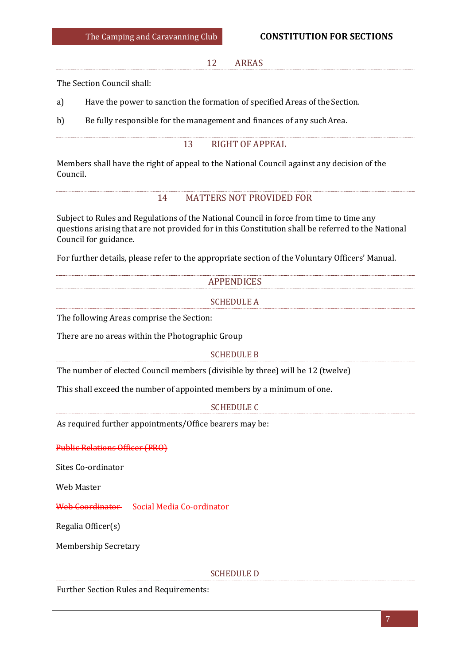### 12 AREAS

The Section Council shall:

a) Have the power to sanction the formation of specified Areas of the Section.

b) Be fully responsible for the management and finances of any suchArea.

### 13 RIGHT OF APPEAL

Members shall have the right of appeal to the National Council against any decision of the Council.

## 14 MATTERS NOT PROVIDED FOR

Subject to Rules and Regulations of the National Council in force from time to time any questions arising that are not provided for in this Constitution shall be referred to the National Council for guidance.

For further details, please refer to the appropriate section of the Voluntary Officers' Manual.

| <b>APPENDICES</b> |  |
|-------------------|--|
| <b>SCHEDULE A</b> |  |

The following Areas comprise the Section:

There are no areas within the Photographic Group

### SCHEDULE B

The number of elected Council members (divisible by three) will be 12 (twelve)

This shall exceed the number of appointed members by a minimum of one.

#### SCHEDULE C

As required further appointments/Office bearers may be:

Public Relations Officer (PRO)

Sites Co-ordinator

Web Master

Web Coordinator Social Media Co-ordinator

Regalia Officer(s)

Membership Secretary

#### SCHEDULE D

Further Section Rules and Requirements: